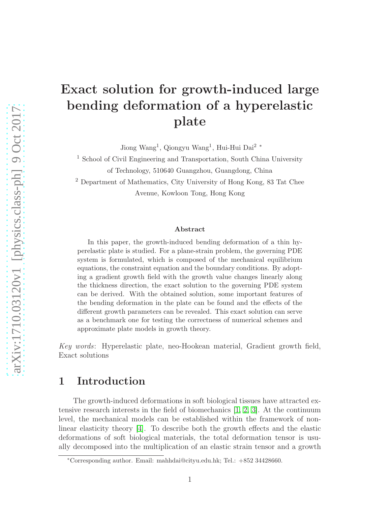# Exact solution for growth-induced large bending deformation of a hyperelastic plate

Jiong Wang<sup>1</sup>, Qiongyu Wang<sup>1</sup>, Hui-Hui Dai<sup>2\*</sup>

<sup>1</sup> School of Civil Engineering and Transportation, South China University of Technology, 510640 Guangzhou, Guangdong, China

<sup>2</sup> Department of Mathematics, City University of Hong Kong, 83 Tat Chee Avenue, Kowloon Tong, Hong Kong

#### Abstract

In this paper, the growth-induced bending deformation of a thin hyperelastic plate is studied. For a plane-strain problem, the governing PDE system is formulated, which is composed of the mechanical equilibrium equations, the constraint equation and the boundary conditions. By adopting a gradient growth field with the growth value changes linearly along the thickness direction, the exact solution to the governing PDE system can be derived. With the obtained solution, some important features of the bending deformation in the plate can be found and the effects of the different growth parameters can be revealed. This exact solution can serve as a benchmark one for testing the correctness of numerical schemes and approximate plate models in growth theory.

Key words: Hyperelastic plate, neo-Hookean material, Gradient growth field, Exact solutions

### 1 Introduction

The growth-induced deformations in soft biological tissues have attracted extensive research interests in the field of biomechanics  $[1, 2, 3]$  $[1, 2, 3]$  $[1, 2, 3]$ . At the continuum level, the mechanical models can be established within the framework of nonlinear elasticity theory [\[4\]](#page-8-2). To describe both the growth effects and the elastic deformations of soft biological materials, the total deformation tensor is usually decomposed into the multiplication of an elastic strain tensor and a growth

<sup>∗</sup>Corresponding author. Email: mahhdai@cityu.edu.hk; Tel.: +852 34428660.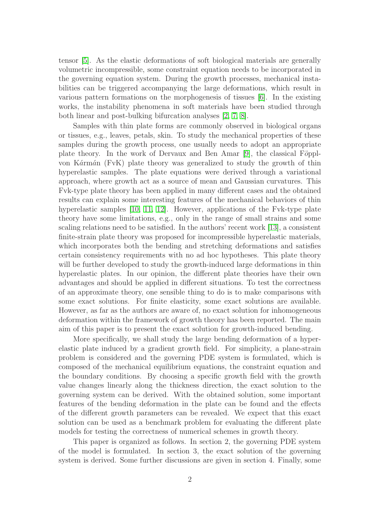tensor [\[5\]](#page-8-3). As the elastic deformations of soft biological materials are generally volumetric incompressible, some constraint equation needs to be incorporated in the governing equation system. During the growth processes, mechanical instabilities can be triggered accompanying the large deformations, which result in various pattern formations on the morphogenesis of tissues [\[6\]](#page-8-4). In the existing works, the instability phenomena in soft materials have been studied through both linear and post-bulking bifurcation analyses [\[2,](#page-8-0) [7,](#page-8-5) [8\]](#page-8-6).

Samples with thin plate forms are commonly observed in biological organs or tissues, e.g., leaves, petals, skin. To study the mechanical properties of these samples during the growth process, one usually needs to adopt an appropriate plate theory. In the work of Dervaux and Ben Amar  $[9]$ , the classical Föpplvon Kármán (FvK) plate theory was generalized to study the growth of thin hyperelastic samples. The plate equations were derived through a variational approach, where growth act as a source of mean and Gaussian curvatures. This Fvk-type plate theory has been applied in many different cases and the obtained results can explain some interesting features of the mechanical behaviors of thin hyperelastic samples [\[10,](#page-8-8) [11,](#page-8-9) [12\]](#page-8-10). However, applications of the Fvk-type plate theory have some limitations, e.g., only in the range of small strains and some scaling relations need to be satisfied. In the authors' recent work [\[13\]](#page-8-11), a consistent finite-strain plate theory was proposed for incompressible hyperelastic materials, which incorporates both the bending and stretching deformations and satisfies certain consistency requirements with no ad hoc hypotheses. This plate theory will be further developed to study the growth-induced large deformations in thin hyperelastic plates. In our opinion, the different plate theories have their own advantages and should be applied in different situations. To test the correctness of an approximate theory, one sensible thing to do is to make comparisons with some exact solutions. For finite elasticity, some exact solutions are available. However, as far as the authors are aware of, no exact solution for inhomogeneous deformation within the framework of growth theory has been reported. The main aim of this paper is to present the exact solution for growth-induced bending.

More specifically, we shall study the large bending deformation of a hyperelastic plate induced by a gradient growth field. For simplicity, a plane-strain problem is considered and the governing PDE system is formulated, which is composed of the mechanical equilibrium equations, the constraint equation and the boundary conditions. By choosing a specific growth field with the growth value changes linearly along the thickness direction, the exact solution to the governing system can be derived. With the obtained solution, some important features of the bending deformation in the plate can be found and the effects of the different growth parameters can be revealed. We expect that this exact solution can be used as a benchmark problem for evaluating the different plate models for testing the correctness of numerical schemes in growth theory.

This paper is organized as follows. In section 2, the governing PDE system of the model is formulated. In section 3, the exact solution of the governing system is derived. Some further discussions are given in section 4. Finally, some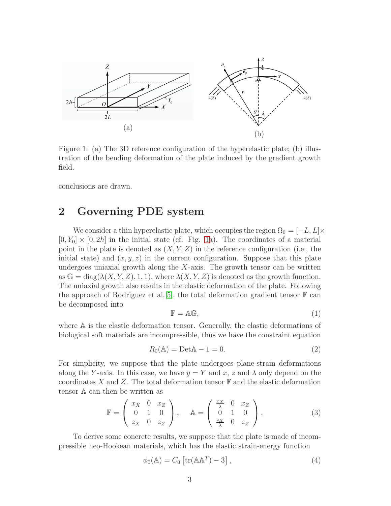

<span id="page-2-0"></span>Figure 1: (a) The 3D reference configuration of the hyperelastic plate; (b) illustration of the bending deformation of the plate induced by the gradient growth field.

conclusions are drawn.

## 2 Governing PDE system

We consider a thin hyperelastic plate, which occupies the region  $\Omega_0 = [-L, L] \times$  $[0, Y_0] \times [0, 2h]$  in the initial state (cf. Fig. [1a](#page-2-0)). The coordinates of a material point in the plate is denoted as  $(X, Y, Z)$  in the reference configuration (i.e., the initial state) and  $(x, y, z)$  in the current configuration. Suppose that this plate undergoes uniaxial growth along the  $X$ -axis. The growth tensor can be written as  $\mathbb{G} = \text{diag}(\lambda(X, Y, Z), 1, 1)$ , where  $\lambda(X, Y, Z)$  is denoted as the growth function. The uniaxial growth also results in the elastic deformation of the plate. Following the approach of Rodriguez et al. [\[5\]](#page-8-3), the total deformation gradient tensor  $\mathbb F$  can be decomposed into

$$
\mathbb{F} = \mathbb{AG},\tag{1}
$$

where A is the elastic deformation tensor. Generally, the elastic deformations of biological soft materials are incompressible, thus we have the constraint equation

$$
R_0(\mathbb{A}) = \text{Det}\mathbb{A} - 1 = 0.
$$
\n<sup>(2)</sup>

For simplicity, we suppose that the plate undergoes plane-strain deformations along the Y-axis. In this case, we have  $y = Y$  and x, z and  $\lambda$  only depend on the coordinates X and Z. The total deformation tensor  $\mathbb F$  and the elastic deformation tensor A can then be written as

$$
\mathbb{F} = \begin{pmatrix} x_X & 0 & x_Z \\ 0 & 1 & 0 \\ z_X & 0 & z_Z \end{pmatrix}, \quad \mathbb{A} = \begin{pmatrix} \frac{x_X}{\lambda} & 0 & x_Z \\ 0 & 1 & 0 \\ \frac{z_X}{\lambda} & 0 & z_Z \end{pmatrix},
$$
(3)

To derive some concrete results, we suppose that the plate is made of incompressible neo-Hookean materials, which has the elastic strain-energy function

$$
\phi_0(\mathbb{A}) = C_0 \left[ \text{tr}(\mathbb{A} \mathbb{A}^T) - 3 \right],\tag{4}
$$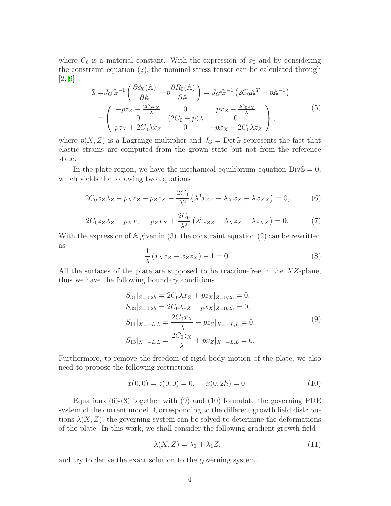where  $C_0$  is a material constant. With the expression of  $\phi_0$  and by considering the constraint equation (2), the nominal stress tensor can be calculated through [\[2,](#page-8-0) [9\]](#page-8-7)

$$
S = J_G G^{-1} \left( \frac{\partial \phi_0(\mathbb{A})}{\partial \mathbb{A}} - p \frac{\partial R_0(\mathbb{A})}{\partial \mathbb{A}} \right) = J_G G^{-1} \left( 2C_0 \mathbb{A}^T - p \mathbb{A}^{-1} \right)
$$
  
= 
$$
\begin{pmatrix} -pz_Z + \frac{2C_0x_X}{\lambda} & 0 & px_Z + \frac{2C_0z_X}{\lambda} \\ 0 & (2C_0 - p)\lambda & 0 \\ pz_X + 2C_0\lambda x_Z & 0 & -px_X + 2C_0\lambda z_Z \end{pmatrix},
$$
(5)

where  $p(X, Z)$  is a Lagrange multiplier and  $J<sub>G</sub> = Det \mathbb{G}$  represents the fact that elastic strains are computed from the grown state but not from the reference state.

In the plate region, we have the mechanical equilibrium equation  $\text{DivS} = 0$ , which yields the following two equations

$$
2C_0x_Z\lambda_Z - p_Xz_Z + p_Zz_X + \frac{2C_0}{\lambda^2} \left(\lambda^3 x_{ZZ} - \lambda_X x_X + \lambda x_{XX}\right) = 0,\tag{6}
$$

$$
2C_0 z_Z \lambda_Z + p_X x_Z - p_Z x_X + \frac{2C_0}{\lambda^2} \left( \lambda^3 z_{ZZ} - \lambda_X z_X + \lambda z_{XX} \right) = 0. \tag{7}
$$

With the expression of  $A$  given in  $(3)$ , the constraint equation  $(2)$  can be rewritten as

$$
\frac{1}{\lambda} \left( x_X z_Z - x_Z z_X \right) - 1 = 0. \tag{8}
$$

All the surfaces of the plate are supposed to be traction-free in the  $XZ$ -plane, thus we have the following boundary conditions

$$
S_{31}|_{Z=0,2h} = 2C_0\lambda x_Z + pz_X|_{Z=0,2h} = 0,
$$
  
\n
$$
S_{33}|_{Z=0,2h} = 2C_0\lambda z_Z - px_X|_{Z=0,2h} = 0,
$$
  
\n
$$
S_{11}|_{X=-L,L} = \frac{2C_0x_X}{\lambda} - pz_Z|_{X=-L,L} = 0,
$$
  
\n
$$
S_{13}|_{X=-L,L} = \frac{2C_0z_X}{\lambda} + px_Z|_{X=-L,L} = 0.
$$
  
\n(9)

Furthermore, to remove the freedom of rigid body motion of the plate, we also need to propose the following restrictions

$$
x(0,0) = z(0,0) = 0, \quad x(0,2h) = 0.
$$
 (10)

Equations  $(6)-(8)$  together with  $(9)$  and  $(10)$  formulate the governing PDE system of the current model. Corresponding to the different growth field distributions  $\lambda(X, Z)$ , the governing system can be solved to determine the deformations of the plate. In this work, we shall consider the following gradient growth field

$$
\lambda(X, Z) = \lambda_0 + \lambda_1 Z,\tag{11}
$$

and try to derive the exact solution to the governing system.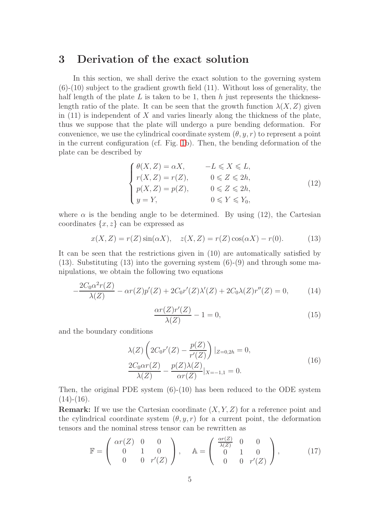### <span id="page-4-0"></span>3 Derivation of the exact solution

In this section, we shall derive the exact solution to the governing system (6)-(10) subject to the gradient growth field (11). Without loss of generality, the half length of the plate L is taken to be 1, then  $h$  just represents the thicknesslength ratio of the plate. It can be seen that the growth function  $\lambda(X, Z)$  given in  $(11)$  is independent of X and varies linearly along the thickness of the plate, thus we suppose that the plate will undergo a pure bending deformation. For convenience, we use the cylindrical coordinate system  $(\theta, y, r)$  to represent a point in the current configuration (cf. Fig. [1b](#page-2-0)). Then, the bending deformation of the plate can be described by

$$
\begin{cases}\n\theta(X, Z) = \alpha X, & -L \leq X \leq L, \\
r(X, Z) = r(Z), & 0 \leq Z \leq 2h, \\
p(X, Z) = p(Z), & 0 \leq Z \leq 2h, \\
y = Y, & 0 \leq Y \leq Y_0,\n\end{cases}
$$
\n(12)

where  $\alpha$  is the bending angle to be determined. By using (12), the Cartesian coordinates  $\{x, z\}$  can be expressed as

$$
x(X, Z) = r(Z) \sin(\alpha X), \quad z(X, Z) = r(Z) \cos(\alpha X) - r(0).
$$
 (13)

It can be seen that the restrictions given in (10) are automatically satisfied by  $(13)$ . Substituting  $(13)$  into the governing system  $(6)-(9)$  and through some manipulations, we obtain the following two equations

$$
-\frac{2C_0\alpha^2r(Z)}{\lambda(Z)} - \alpha r(Z)p'(Z) + 2C_0r'(Z)\lambda'(Z) + 2C_0\lambda(Z)r''(Z) = 0,
$$
 (14)

$$
\frac{\alpha r(Z)r'(Z)}{\lambda(Z)} - 1 = 0,\t(15)
$$

and the boundary conditions

$$
\lambda(Z) \left( 2C_0 r'(Z) - \frac{p(Z)}{r'(Z)} \right) |_{Z=0,2h} = 0,
$$
  

$$
\frac{2C_0 \alpha r(Z)}{\lambda(Z)} - \frac{p(Z)\lambda(Z)}{\alpha r(Z)} |_{X=-1,1} = 0.
$$
 (16)

Then, the original PDE system  $(6)-(10)$  has been reduced to the ODE system  $(14)-(16)$ .

**Remark:** If we use the Cartesian coordinate  $(X, Y, Z)$  for a reference point and the cylindrical coordinate system  $(\theta, y, r)$  for a current point, the deformation tensors and the nominal stress tensor can be rewritten as

$$
\mathbb{F} = \begin{pmatrix} \alpha r(Z) & 0 & 0 \\ 0 & 1 & 0 \\ 0 & 0 & r'(Z) \end{pmatrix}, \quad \mathbb{A} = \begin{pmatrix} \frac{\alpha r(Z)}{\lambda(Z)} & 0 & 0 \\ 0 & 1 & 0 \\ 0 & 0 & r'(Z) \end{pmatrix}, \quad (17)
$$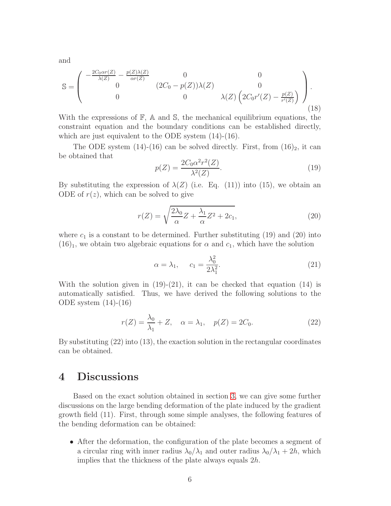and

$$
\mathbb{S} = \begin{pmatrix} -\frac{2C_0\alpha r(Z)}{\lambda(Z)} - \frac{p(Z)\lambda(Z)}{\alpha r(Z)} & 0 & 0\\ 0 & (2C_0 - p(Z))\lambda(Z) & 0\\ 0 & 0 & \lambda(Z)\left(2C_0r'(Z) - \frac{p(Z)}{r'(Z)}\right) \end{pmatrix}.
$$
(18)

With the expressions of  $\mathbb{F}$ ,  $\mathbb{A}$  and  $\mathbb{S}$ , the mechanical equilibrium equations, the constraint equation and the boundary conditions can be established directly, which are just equivalent to the ODE system (14)-(16).

The ODE system  $(14)-(16)$  can be solved directly. First, from  $(16)_2$ , it can be obtained that

$$
p(Z) = \frac{2C_0\alpha^2 r^2(Z)}{\lambda^2(Z)}.
$$
\n
$$
(19)
$$

By substituting the expression of  $\lambda(Z)$  (i.e. Eq. (11)) into (15), we obtain an ODE of  $r(z)$ , which can be solved to give

$$
r(Z) = \sqrt{\frac{2\lambda_0}{\alpha}Z + \frac{\lambda_1}{\alpha}Z^2 + 2c_1},\tag{20}
$$

where  $c_1$  is a constant to be determined. Further substituting (19) and (20) into  $(16)<sub>1</sub>$ , we obtain two algebraic equations for  $\alpha$  and  $c<sub>1</sub>$ , which have the solution

$$
\alpha = \lambda_1, \qquad c_1 = \frac{\lambda_0^2}{2\lambda_1^2}.\tag{21}
$$

With the solution given in  $(19)-(21)$ , it can be checked that equation  $(14)$  is automatically satisfied. Thus, we have derived the following solutions to the ODE system (14)-(16)

$$
r(Z) = \frac{\lambda_0}{\lambda_1} + Z, \quad \alpha = \lambda_1, \quad p(Z) = 2C_0.
$$
 (22)

By substituting (22) into (13), the exaction solution in the rectangular coordinates can be obtained.

#### 4 Discussions

Based on the exact solution obtained in section [3,](#page-4-0) we can give some further discussions on the large bending deformation of the plate induced by the gradient growth field (11). First, through some simple analyses, the following features of the bending deformation can be obtained:

• After the deformation, the configuration of the plate becomes a segment of a circular ring with inner radius  $\lambda_0/\lambda_1$  and outer radius  $\lambda_0/\lambda_1 + 2h$ , which implies that the thickness of the plate always equals 2h.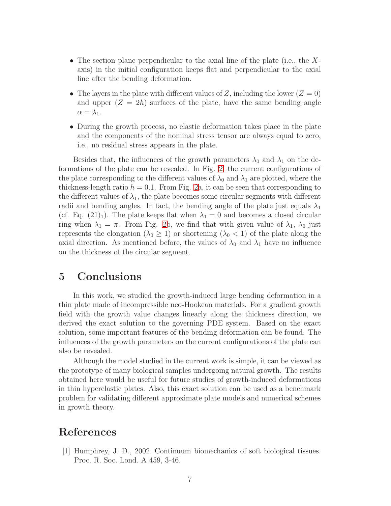- The section plane perpendicular to the axial line of the plate (i.e., the Xaxis) in the initial configuration keeps flat and perpendicular to the axial line after the bending deformation.
- The layers in the plate with different values of Z, including the lower  $(Z = 0)$ and upper  $(Z = 2h)$  surfaces of the plate, have the same bending angle  $\alpha = \lambda_1$ .
- During the growth process, no elastic deformation takes place in the plate and the components of the nominal stress tensor are always equal to zero, i.e., no residual stress appears in the plate.

Besides that, the influences of the growth parameters  $\lambda_0$  and  $\lambda_1$  on the deformations of the plate can be revealed. In Fig. [2,](#page-7-0) the current configurations of the plate corresponding to the different values of  $\lambda_0$  and  $\lambda_1$  are plotted, where the thickness-length ratio  $h = 0.1$ . From Fig. [2a](#page-7-0), it can be seen that corresponding to the different values of  $\lambda_1$ , the plate becomes some circular segments with different radii and bending angles. In fact, the bending angle of the plate just equals  $\lambda_1$ (cf. Eq.  $(21)_1$ ). The plate keeps flat when  $\lambda_1 = 0$  and becomes a closed circular ring when  $\lambda_1 = \pi$ . From Fig. [2b](#page-7-0), we find that with given value of  $\lambda_1$ ,  $\lambda_0$  just represents the elongation ( $\lambda_0 \geq 1$ ) or shortening ( $\lambda_0 < 1$ ) of the plate along the axial direction. As mentioned before, the values of  $\lambda_0$  and  $\lambda_1$  have no influence on the thickness of the circular segment.

#### 5 Conclusions

In this work, we studied the growth-induced large bending deformation in a thin plate made of incompressible neo-Hookean materials. For a gradient growth field with the growth value changes linearly along the thickness direction, we derived the exact solution to the governing PDE system. Based on the exact solution, some important features of the bending deformation can be found. The influences of the growth parameters on the current configurations of the plate can also be revealed.

Although the model studied in the current work is simple, it can be viewed as the prototype of many biological samples undergoing natural growth. The results obtained here would be useful for future studies of growth-induced deformations in thin hyperelastic plates. Also, this exact solution can be used as a benchmark problem for validating different approximate plate models and numerical schemes in growth theory.

### <span id="page-6-0"></span>References

[1] Humphrey, J. D., 2002. Continuum biomechanics of soft biological tissues. Proc. R. Soc. Lond. A 459, 3-46.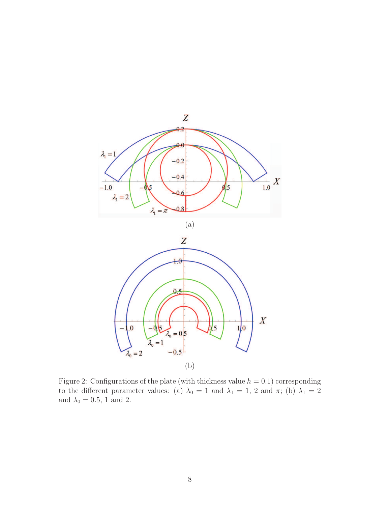

<span id="page-7-0"></span>Figure 2: Configurations of the plate (with thickness value  $h = 0.1$ ) corresponding to the different parameter values: (a)  $\lambda_0 = 1$  and  $\lambda_1 = 1$ , 2 and  $\pi$ ; (b)  $\lambda_1 = 2$ and  $\lambda_0 = 0.5$ , 1 and 2.